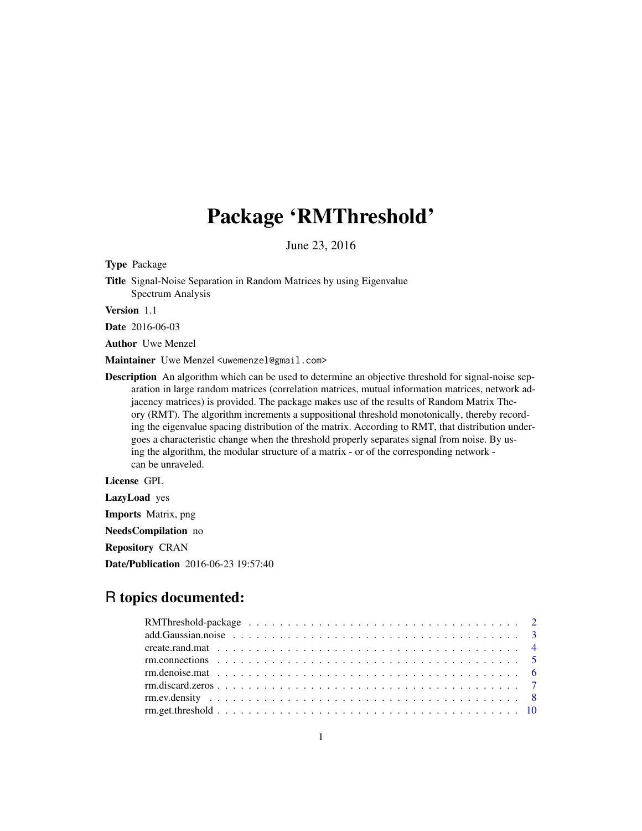# Package 'RMThreshold'

June 23, 2016

<span id="page-0-0"></span>Type Package

Title Signal-Noise Separation in Random Matrices by using Eigenvalue Spectrum Analysis

Version 1.1

Date 2016-06-03

Author Uwe Menzel

Maintainer Uwe Menzel <uwemenzel@gmail.com>

Description An algorithm which can be used to determine an objective threshold for signal-noise separation in large random matrices (correlation matrices, mutual information matrices, network adjacency matrices) is provided. The package makes use of the results of Random Matrix Theory (RMT). The algorithm increments a suppositional threshold monotonically, thereby recording the eigenvalue spacing distribution of the matrix. According to RMT, that distribution undergoes a characteristic change when the threshold properly separates signal from noise. By using the algorithm, the modular structure of a matrix - or of the corresponding network can be unraveled.

License GPL

LazyLoad yes

Imports Matrix, png

NeedsCompilation no

Repository CRAN

Date/Publication 2016-06-23 19:57:40

# R topics documented:

| add. Gaussian.noise $\ldots \ldots \ldots \ldots \ldots \ldots \ldots \ldots \ldots \ldots \ldots \ldots \ldots$ |  |
|------------------------------------------------------------------------------------------------------------------|--|
|                                                                                                                  |  |
|                                                                                                                  |  |
|                                                                                                                  |  |
|                                                                                                                  |  |
|                                                                                                                  |  |
|                                                                                                                  |  |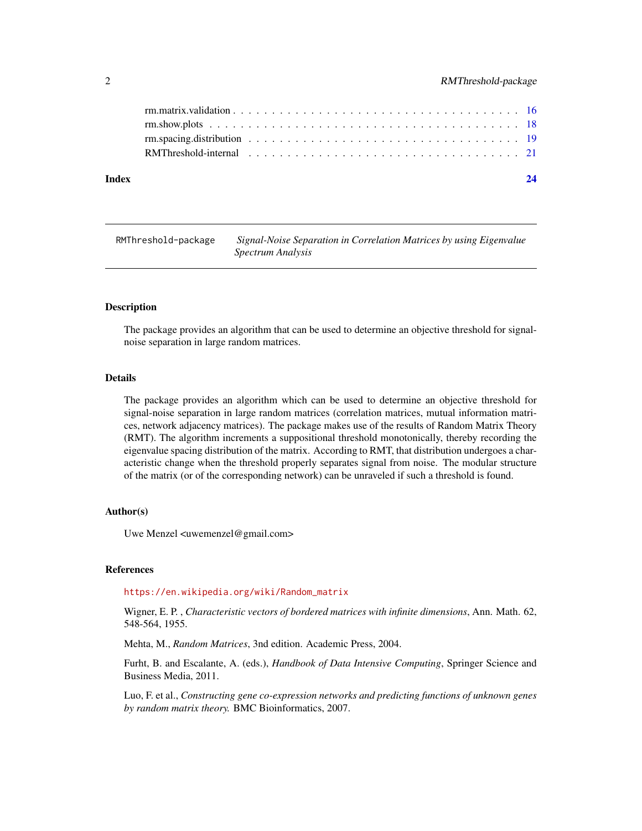# <span id="page-1-0"></span>2 RMThreshold-package

| Index |  |
|-------|--|
|       |  |
|       |  |
|       |  |
|       |  |

RMThreshold-package *Signal-Noise Separation in Correlation Matrices by using Eigenvalue Spectrum Analysis*

#### Description

The package provides an algorithm that can be used to determine an objective threshold for signalnoise separation in large random matrices.

#### Details

The package provides an algorithm which can be used to determine an objective threshold for signal-noise separation in large random matrices (correlation matrices, mutual information matrices, network adjacency matrices). The package makes use of the results of Random Matrix Theory (RMT). The algorithm increments a suppositional threshold monotonically, thereby recording the eigenvalue spacing distribution of the matrix. According to RMT, that distribution undergoes a characteristic change when the threshold properly separates signal from noise. The modular structure of the matrix (or of the corresponding network) can be unraveled if such a threshold is found.

#### Author(s)

Uwe Menzel <uwemenzel@gmail.com>

#### References

#### [https://en.wikipedia.org/wiki/Random\\_matrix](https://en.wikipedia.org/wiki/Random_matrix)

Wigner, E. P. , *Characteristic vectors of bordered matrices with infinite dimensions*, Ann. Math. 62, 548-564, 1955.

Mehta, M., *Random Matrices*, 3nd edition. Academic Press, 2004.

Furht, B. and Escalante, A. (eds.), *Handbook of Data Intensive Computing*, Springer Science and Business Media, 2011.

Luo, F. et al., *Constructing gene co-expression networks and predicting functions of unknown genes by random matrix theory.* BMC Bioinformatics, 2007.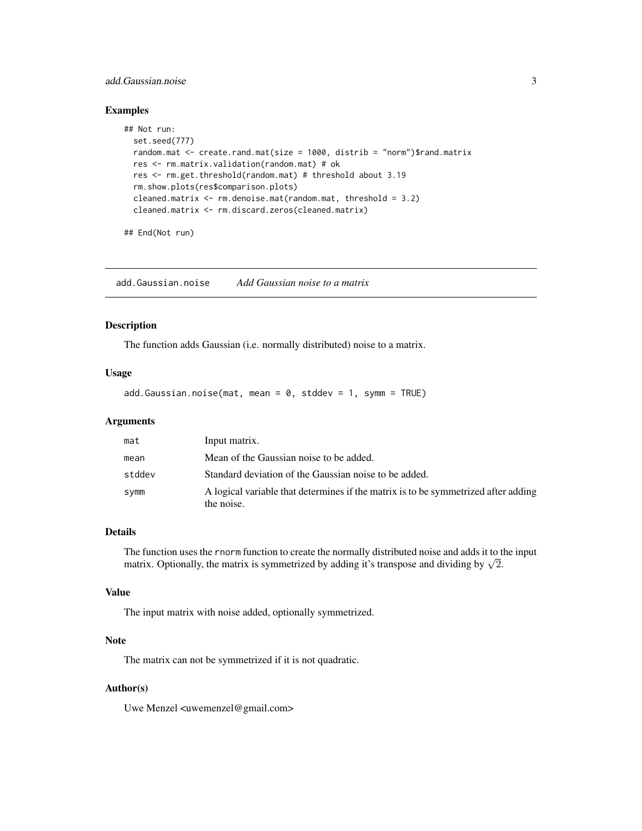# <span id="page-2-0"></span>add.Gaussian.noise 3

# Examples

```
## Not run:
 set.seed(777)
 random.mat \leq create.rand.mat(size = 1000, distrib = "norm")$rand.matrix
 res <- rm.matrix.validation(random.mat) # ok
 res <- rm.get.threshold(random.mat) # threshold about 3.19
 rm.show.plots(res$comparison.plots)
 cleaned.matrix <- rm.denoise.mat(random.mat, threshold = 3.2)
 cleaned.matrix <- rm.discard.zeros(cleaned.matrix)
```

```
## End(Not run)
```
add.Gaussian.noise *Add Gaussian noise to a matrix*

#### Description

The function adds Gaussian (i.e. normally distributed) noise to a matrix.

#### Usage

add.Gaussian.noise(mat, mean =  $0$ , stddev = 1, symm = TRUE)

# Arguments

| mat    | Input matrix.                                                                                    |
|--------|--------------------------------------------------------------------------------------------------|
| mean   | Mean of the Gaussian noise to be added.                                                          |
| stddev | Standard deviation of the Gaussian noise to be added.                                            |
| symm   | A logical variable that determines if the matrix is to be symmetrized after adding<br>the noise. |

# Details

The function uses the rnorm function to create the normally distributed noise and adds it to the input The function uses the morm function to create the normally distributed holds and adds it to the matrix is symmetrized by adding it's transpose and dividing by  $\sqrt{2}$ .

#### Value

The input matrix with noise added, optionally symmetrized.

# Note

The matrix can not be symmetrized if it is not quadratic.

# Author(s)

Uwe Menzel <uwemenzel@gmail.com>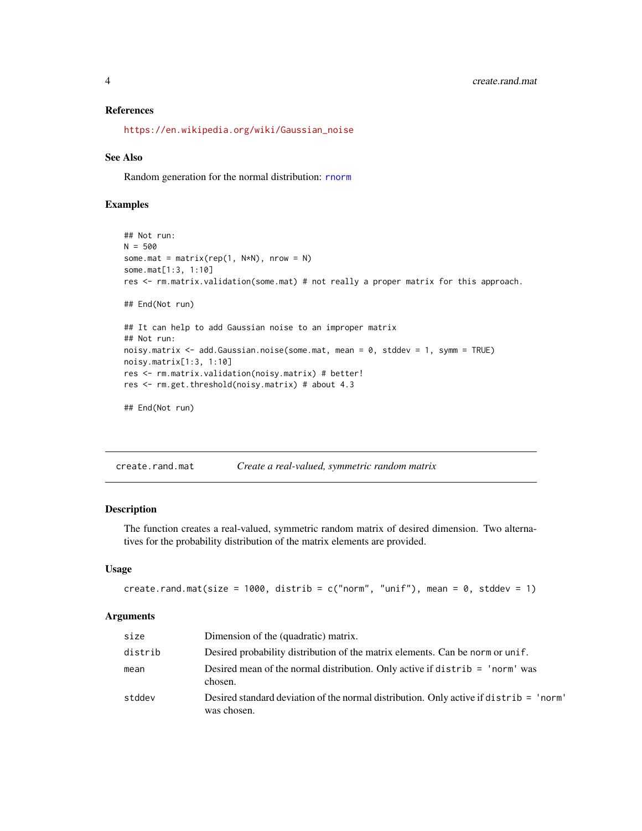#### <span id="page-3-0"></span>References

[https://en.wikipedia.org/wiki/Gaussian\\_noise](https://en.wikipedia.org/wiki/Gaussian_noise)

#### See Also

Random generation for the normal distribution: **[rnorm](#page-0-0)** 

# Examples

```
## Not run:
N = 500some.mat = matrix(rep(1, N*N), nrow = N)
some.mat[1:3, 1:10]
res <- rm.matrix.validation(some.mat) # not really a proper matrix for this approach.
## End(Not run)
## It can help to add Gaussian noise to an improper matrix
## Not run:
noisy.matrix <- add.Gaussian.noise(some.mat, mean = 0, stddev = 1, symm = TRUE)
noisy.matrix[1:3, 1:10]
res <- rm.matrix.validation(noisy.matrix) # better!
res <- rm.get.threshold(noisy.matrix) # about 4.3
```

```
## End(Not run)
```
<span id="page-3-1"></span>create.rand.mat *Create a real-valued, symmetric random matrix*

#### Description

The function creates a real-valued, symmetric random matrix of desired dimension. Two alternatives for the probability distribution of the matrix elements are provided.

#### Usage

```
create.rand.mat(size = 1000, distrib = c("norm", "uniform", \text{mean} = 0, \text{stddev} = 1)
```

| size    | Dimension of the (quadratic) matrix.                                                                  |
|---------|-------------------------------------------------------------------------------------------------------|
| distrib | Desired probability distribution of the matrix elements. Can be norm or unif.                         |
| mean    | Desired mean of the normal distribution. Only active if distrib $=$ 'norm' was<br>chosen.             |
| stddev  | Desired standard deviation of the normal distribution. Only active if distrib = 'norm'<br>was chosen. |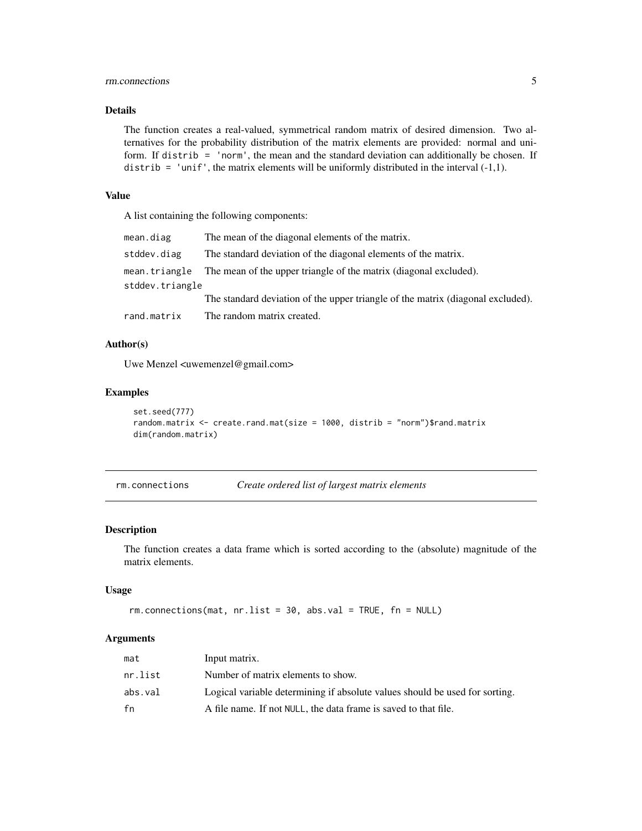# <span id="page-4-0"></span>rm.connections 5

# Details

The function creates a real-valued, symmetrical random matrix of desired dimension. Two alternatives for the probability distribution of the matrix elements are provided: normal and uniform. If distrib = 'norm', the mean and the standard deviation can additionally be chosen. If distrib = 'unif', the matrix elements will be uniformly distributed in the interval  $(-1,1)$ .

# Value

A list containing the following components:

| mean.diag                        | The mean of the diagonal elements of the matrix.                                |
|----------------------------------|---------------------------------------------------------------------------------|
| stddev.diag                      | The standard deviation of the diagonal elements of the matrix.                  |
| mean.triangle<br>stddev.triangle | The mean of the upper triangle of the matrix (diagonal excluded).               |
|                                  | The standard deviation of the upper triangle of the matrix (diagonal excluded). |
| rand.matrix                      | The random matrix created.                                                      |

# Author(s)

Uwe Menzel <uwemenzel@gmail.com>

# Examples

```
set.seed(777)
random.matrix \leq create.rand.mat(size = 1000, distrib = "norm")$rand.matrix
dim(random.matrix)
```
rm.connections *Create ordered list of largest matrix elements*

#### Description

The function creates a data frame which is sorted according to the (absolute) magnitude of the matrix elements.

#### Usage

```
rm.connections(mat, nr.list = 30, abs.val = TRUE, fn = NULL)
```

| mat     | Input matrix.                                                               |
|---------|-----------------------------------------------------------------------------|
| nr.list | Number of matrix elements to show.                                          |
| abs.val | Logical variable determining if absolute values should be used for sorting. |
| fn      | A file name. If not NULL, the data frame is saved to that file.             |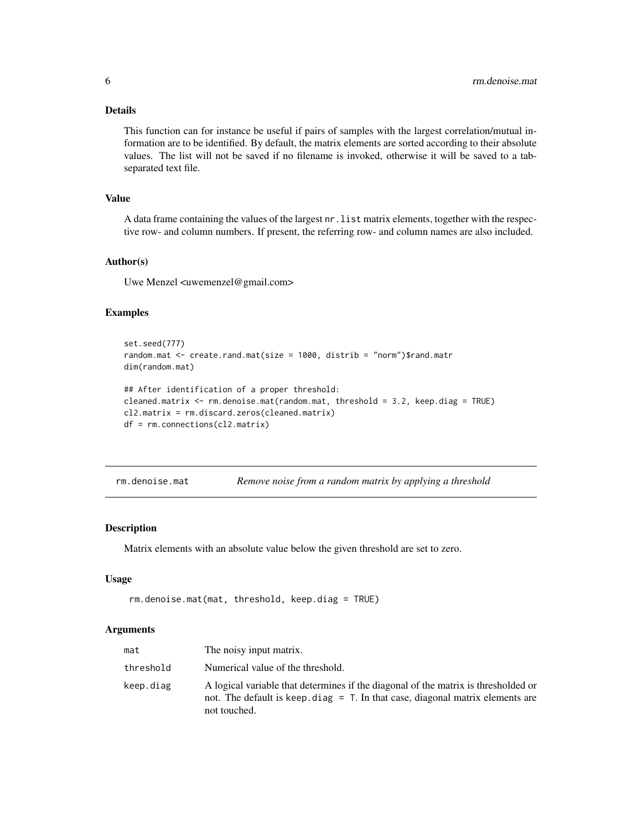<span id="page-5-0"></span>This function can for instance be useful if pairs of samples with the largest correlation/mutual information are to be identified. By default, the matrix elements are sorted according to their absolute values. The list will not be saved if no filename is invoked, otherwise it will be saved to a tabseparated text file.

#### Value

A data frame containing the values of the largest nr.list matrix elements, together with the respective row- and column numbers. If present, the referring row- and column names are also included.

#### Author(s)

Uwe Menzel <uwemenzel@gmail.com>

#### Examples

```
set.seed(777)
random.mat \leq create.rand.mat(size = 1000, distrib = "norm")$rand.matr
dim(random.mat)
## After identification of a proper threshold:
cleaned.matrix <- rm.denoise.mat(random.mat, threshold = 3.2, keep.diag = TRUE)
cl2.matrix = rm.discard.zeros(cleaned.matrix)
df = rm.connections(cl2.matrix)
```
<span id="page-5-1"></span>rm.denoise.mat *Remove noise from a random matrix by applying a threshold*

#### Description

Matrix elements with an absolute value below the given threshold are set to zero.

#### Usage

```
rm.denoise.mat(mat, threshold, keep.diag = TRUE)
```

| mat       | The noisy input matrix.                                                                                                                                                               |
|-----------|---------------------------------------------------------------------------------------------------------------------------------------------------------------------------------------|
| threshold | Numerical value of the threshold.                                                                                                                                                     |
| keep.diag | A logical variable that determines if the diagonal of the matrix is thresholded or<br>not. The default is keep diag $=$ T. In that case, diagonal matrix elements are<br>not touched. |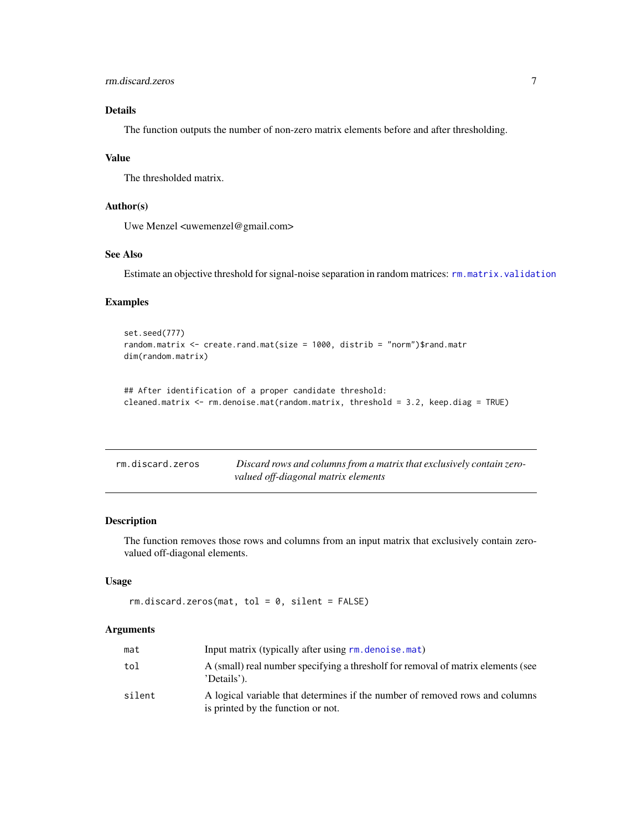<span id="page-6-0"></span>The function outputs the number of non-zero matrix elements before and after thresholding.

#### Value

The thresholded matrix.

# Author(s)

Uwe Menzel <uwemenzel@gmail.com>

# See Also

Estimate an objective threshold for signal-noise separation in random matrices: [rm.matrix.validation](#page-15-1)

# Examples

```
set.seed(777)
random.matrix <- create.rand.mat(size = 1000, distrib = "norm")$rand.matr
dim(random.matrix)
```

```
## After identification of a proper candidate threshold:
cleaned.matrix <- rm.denoise.mat(random.matrix, threshold = 3.2, keep.diag = TRUE)
```

| rm.discard.zeros | Discard rows and columns from a matrix that exclusively contain zero- |
|------------------|-----------------------------------------------------------------------|
|                  | valued off-diagonal matrix elements                                   |

### Description

The function removes those rows and columns from an input matrix that exclusively contain zerovalued off-diagonal elements.

#### Usage

```
rm.discard.zeros(mat, tol = 0, silent = FALSE)
```

| mat    | Input matrix (typically after using rm. denoise. mat)                                                              |
|--------|--------------------------------------------------------------------------------------------------------------------|
| tol    | A (small) real number specifying a thresholf for removal of matrix elements (see<br>'Details').                    |
| silent | A logical variable that determines if the number of removed rows and columns<br>is printed by the function or not. |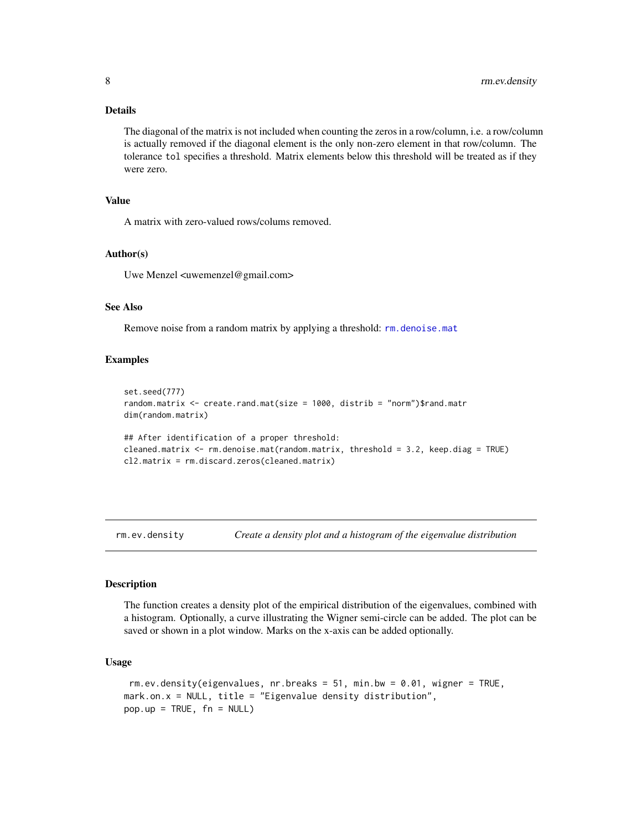<span id="page-7-0"></span>The diagonal of the matrix is not included when counting the zeros in a row/column, i.e. a row/column is actually removed if the diagonal element is the only non-zero element in that row/column. The tolerance tol specifies a threshold. Matrix elements below this threshold will be treated as if they were zero.

# Value

A matrix with zero-valued rows/colums removed.

#### Author(s)

Uwe Menzel <uwemenzel@gmail.com>

#### See Also

Remove noise from a random matrix by applying a threshold: [rm.denoise.mat](#page-5-1)

#### Examples

```
set.seed(777)
random.matrix <- create.rand.mat(size = 1000, distrib = "norm")$rand.matr
dim(random.matrix)
## After identification of a proper threshold:
cleaned.matrix <- rm.denoise.mat(random.matrix, threshold = 3.2, keep.diag = TRUE)
cl2.matrix = rm.discard.zeros(cleaned.matrix)
```
<span id="page-7-1"></span>rm.ev.density *Create a density plot and a histogram of the eigenvalue distribution*

#### **Description**

The function creates a density plot of the empirical distribution of the eigenvalues, combined with a histogram. Optionally, a curve illustrating the Wigner semi-circle can be added. The plot can be saved or shown in a plot window. Marks on the x-axis can be added optionally.

### Usage

```
rm.ev.density(eigenvalues, nr.breaks = 51, min.bw = 0.01, wigner = TRUE,
mark.on.x = NULL, title = "Eigenvalue density distribution",
pop.up = TRUE, fn = NULL)
```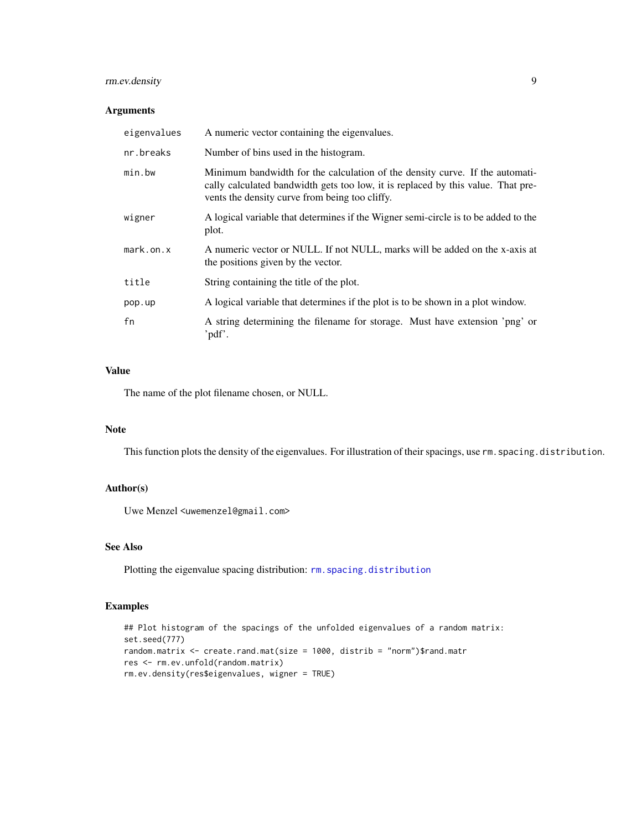# <span id="page-8-0"></span>rm.ev.density 9

#### Arguments

| eigenvalues     | A numeric vector containing the eigenvalues.                                                                                                                                                                       |
|-----------------|--------------------------------------------------------------------------------------------------------------------------------------------------------------------------------------------------------------------|
| nr.breaks       | Number of bins used in the histogram.                                                                                                                                                                              |
| min.bw          | Minimum bandwidth for the calculation of the density curve. If the automati-<br>cally calculated bandwidth gets too low, it is replaced by this value. That pre-<br>vents the density curve from being too cliffy. |
| wigner          | A logical variable that determines if the Wigner semi-circle is to be added to the<br>plot.                                                                                                                        |
| $mark.$ on. $x$ | A numeric vector or NULL. If not NULL, marks will be added on the x-axis at<br>the positions given by the vector.                                                                                                  |
| title           | String containing the title of the plot.                                                                                                                                                                           |
| pop.up          | A logical variable that determines if the plot is to be shown in a plot window.                                                                                                                                    |
| fn              | A string determining the filename for storage. Must have extension 'png' or<br>'pdf'.                                                                                                                              |

# Value

The name of the plot filename chosen, or NULL.

#### Note

This function plots the density of the eigenvalues. For illustration of their spacings, use rm. spacing.distribution.

# Author(s)

Uwe Menzel <uwemenzel@gmail.com>

# See Also

Plotting the eigenvalue spacing distribution: [rm.spacing.distribution](#page-18-1)

# Examples

```
## Plot histogram of the spacings of the unfolded eigenvalues of a random matrix:
set.seed(777)
random.matrix <- create.rand.mat(size = 1000, distrib = "norm")$rand.matr
res <- rm.ev.unfold(random.matrix)
rm.ev.density(res$eigenvalues, wigner = TRUE)
```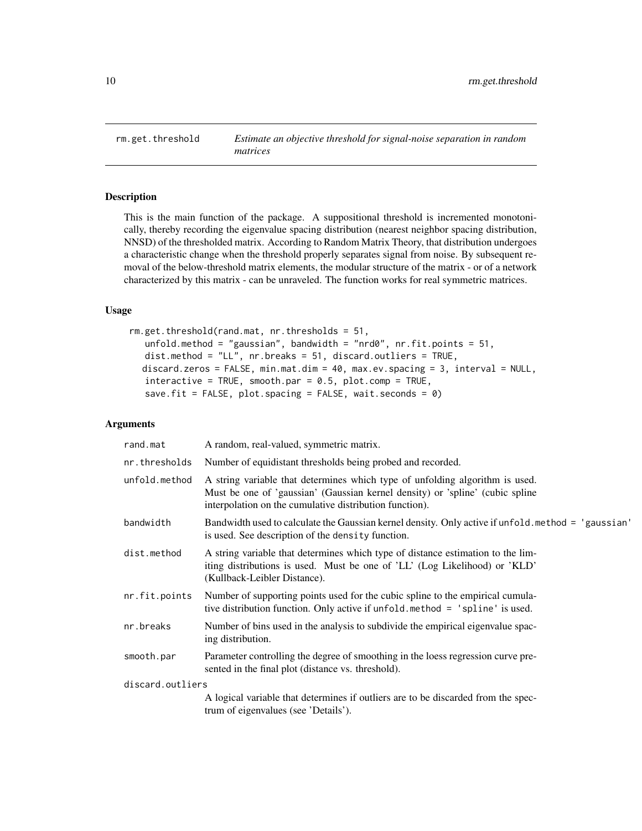<span id="page-9-1"></span><span id="page-9-0"></span>rm.get.threshold *Estimate an objective threshold for signal-noise separation in random matrices*

# **Description**

This is the main function of the package. A suppositional threshold is incremented monotonically, thereby recording the eigenvalue spacing distribution (nearest neighbor spacing distribution, NNSD) of the thresholded matrix. According to Random Matrix Theory, that distribution undergoes a characteristic change when the threshold properly separates signal from noise. By subsequent removal of the below-threshold matrix elements, the modular structure of the matrix - or of a network characterized by this matrix - can be unraveled. The function works for real symmetric matrices.

# Usage

```
rm.get.threshold(rand.mat, nr.thresholds = 51,
   unfold.method = "gaussian", bandwidth = "nrd0", nr.fit.points = 51,
   dist.method = "LL", nr.breaks = 51, discard.outliers = TRUE,
  discard.zeros = FALSE, min.mat.dim = 40, max.ev.spacing = 3, interval = NULL,
   interactive = TRUE, smooth.par = 0.5, plot.comp = TRUE,
   save.fit = FALSE, plot.spacing = FALSE, wait.seconds = \theta)
```

| rand.mat         | A random, real-valued, symmetric matrix.                                                                                                                                                                                 |
|------------------|--------------------------------------------------------------------------------------------------------------------------------------------------------------------------------------------------------------------------|
| nr.thresholds    | Number of equidistant thresholds being probed and recorded.                                                                                                                                                              |
| unfold.method    | A string variable that determines which type of unfolding algorithm is used.<br>Must be one of 'gaussian' (Gaussian kernel density) or 'spline' (cubic spline<br>interpolation on the cumulative distribution function). |
| bandwidth        | Bandwidth used to calculate the Gaussian kernel density. Only active if unfold method = 'gaussian'<br>is used. See description of the density function.                                                                  |
| dist.method      | A string variable that determines which type of distance estimation to the lim-<br>iting distributions is used. Must be one of 'LL' (Log Likelihood) or 'KLD'<br>(Kullback-Leibler Distance).                            |
| nr.fit.points    | Number of supporting points used for the cubic spline to the empirical cumula-<br>tive distribution function. Only active if unfold method = 'spline' is used.                                                           |
| nr.breaks        | Number of bins used in the analysis to subdivide the empirical eigenvalue spac-<br>ing distribution.                                                                                                                     |
| smooth.par       | Parameter controlling the degree of smoothing in the loess regression curve pre-<br>sented in the final plot (distance vs. threshold).                                                                                   |
| discard.outliers |                                                                                                                                                                                                                          |
|                  | A logical variable that determines if outliers are to be discarded from the spec-<br>trum of eigenvalues (see 'Details').                                                                                                |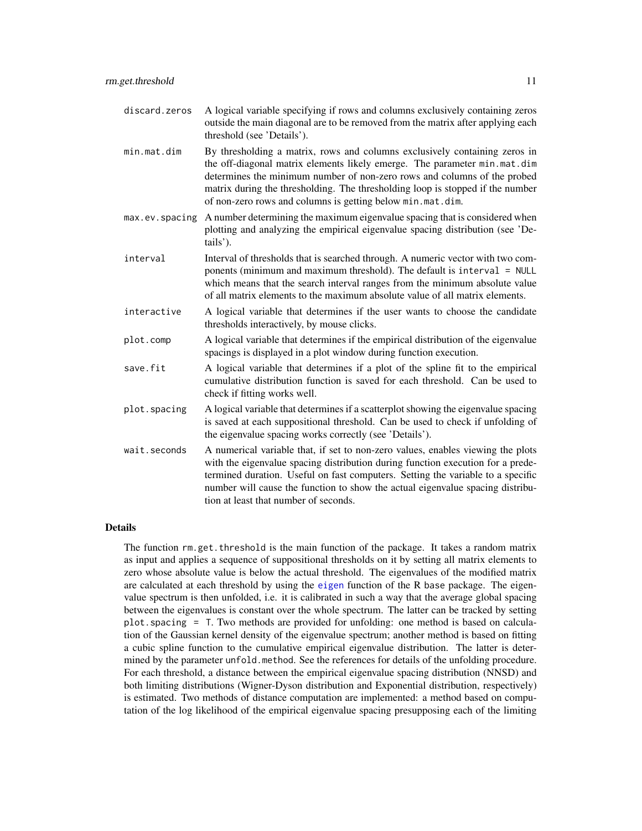- <span id="page-10-0"></span>discard.zeros A logical variable specifying if rows and columns exclusively containing zeros outside the main diagonal are to be removed from the matrix after applying each threshold (see 'Details').
- min.mat.dim By thresholding a matrix, rows and columns exclusively containing zeros in the off-diagonal matrix elements likely emerge. The parameter min.mat.dim determines the minimum number of non-zero rows and columns of the probed matrix during the thresholding. The thresholding loop is stopped if the number of non-zero rows and columns is getting below min.mat.dim.
- max.ev.spacing A number determining the maximum eigenvalue spacing that is considered when plotting and analyzing the empirical eigenvalue spacing distribution (see 'Details').
- interval Interval of thresholds that is searched through. A numeric vector with two components (minimum and maximum threshold). The default is interval = NULL which means that the search interval ranges from the minimum absolute value of all matrix elements to the maximum absolute value of all matrix elements.
- interactive A logical variable that determines if the user wants to choose the candidate thresholds interactively, by mouse clicks.
- plot.comp A logical variable that determines if the empirical distribution of the eigenvalue spacings is displayed in a plot window during function execution.
- save. fit A logical variable that determines if a plot of the spline fit to the empirical cumulative distribution function is saved for each threshold. Can be used to check if fitting works well.
- plot.spacing A logical variable that determines if a scatterplot showing the eigenvalue spacing is saved at each suppositional threshold. Can be used to check if unfolding of the eigenvalue spacing works correctly (see 'Details').
- wait.seconds A numerical variable that, if set to non-zero values, enables viewing the plots with the eigenvalue spacing distribution during function execution for a predetermined duration. Useful on fast computers. Setting the variable to a specific number will cause the function to show the actual eigenvalue spacing distribution at least that number of seconds.

The function rm.get.threshold is the main function of the package. It takes a random matrix as input and applies a sequence of suppositional thresholds on it by setting all matrix elements to zero whose absolute value is below the actual threshold. The eigenvalues of the modified matrix are calculated at each threshold by using the [eigen](#page-0-0) function of the R base package. The eigenvalue spectrum is then unfolded, i.e. it is calibrated in such a way that the average global spacing between the eigenvalues is constant over the whole spectrum. The latter can be tracked by setting plot.spacing = T. Two methods are provided for unfolding: one method is based on calculation of the Gaussian kernel density of the eigenvalue spectrum; another method is based on fitting a cubic spline function to the cumulative empirical eigenvalue distribution. The latter is determined by the parameter unfold.method. See the references for details of the unfolding procedure. For each threshold, a distance between the empirical eigenvalue spacing distribution (NNSD) and both limiting distributions (Wigner-Dyson distribution and Exponential distribution, respectively) is estimated. Two methods of distance computation are implemented: a method based on computation of the log likelihood of the empirical eigenvalue spacing presupposing each of the limiting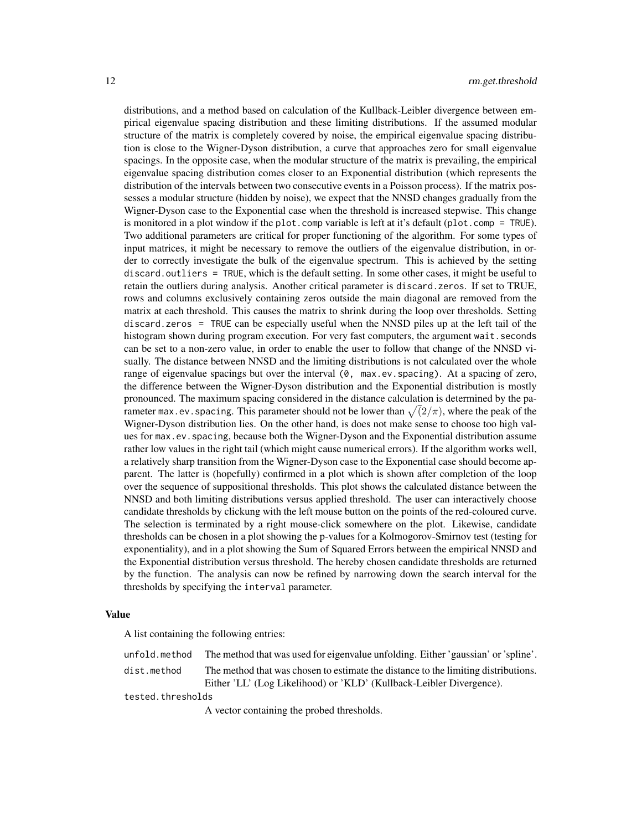distributions, and a method based on calculation of the Kullback-Leibler divergence between empirical eigenvalue spacing distribution and these limiting distributions. If the assumed modular structure of the matrix is completely covered by noise, the empirical eigenvalue spacing distribution is close to the Wigner-Dyson distribution, a curve that approaches zero for small eigenvalue spacings. In the opposite case, when the modular structure of the matrix is prevailing, the empirical eigenvalue spacing distribution comes closer to an Exponential distribution (which represents the distribution of the intervals between two consecutive events in a Poisson process). If the matrix possesses a modular structure (hidden by noise), we expect that the NNSD changes gradually from the Wigner-Dyson case to the Exponential case when the threshold is increased stepwise. This change is monitored in a plot window if the plot.comp variable is left at it's default (plot.comp = TRUE). Two additional parameters are critical for proper functioning of the algorithm. For some types of input matrices, it might be necessary to remove the outliers of the eigenvalue distribution, in order to correctly investigate the bulk of the eigenvalue spectrum. This is achieved by the setting discard.outliers = TRUE, which is the default setting. In some other cases, it might be useful to retain the outliers during analysis. Another critical parameter is discard.zeros. If set to TRUE, rows and columns exclusively containing zeros outside the main diagonal are removed from the matrix at each threshold. This causes the matrix to shrink during the loop over thresholds. Setting discard.zeros = TRUE can be especially useful when the NNSD piles up at the left tail of the histogram shown during program execution. For very fast computers, the argument wait. seconds can be set to a non-zero value, in order to enable the user to follow that change of the NNSD visually. The distance between NNSD and the limiting distributions is not calculated over the whole range of eigenvalue spacings but over the interval (0, max.ev.spacing). At a spacing of zero, the difference between the Wigner-Dyson distribution and the Exponential distribution is mostly pronounced. The maximum spacing considered in the distance calculation is determined by the parameter max.ev.spacing. This parameter should not be lower than  $\sqrt(2/\pi)$ , where the peak of the Wigner-Dyson distribution lies. On the other hand, is does not make sense to choose too high values for max.ev.spacing, because both the Wigner-Dyson and the Exponential distribution assume rather low values in the right tail (which might cause numerical errors). If the algorithm works well, a relatively sharp transition from the Wigner-Dyson case to the Exponential case should become apparent. The latter is (hopefully) confirmed in a plot which is shown after completion of the loop over the sequence of suppositional thresholds. This plot shows the calculated distance between the NNSD and both limiting distributions versus applied threshold. The user can interactively choose candidate thresholds by clickung with the left mouse button on the points of the red-coloured curve. The selection is terminated by a right mouse-click somewhere on the plot. Likewise, candidate thresholds can be chosen in a plot showing the p-values for a Kolmogorov-Smirnov test (testing for exponentiality), and in a plot showing the Sum of Squared Errors between the empirical NNSD and the Exponential distribution versus threshold. The hereby chosen candidate thresholds are returned by the function. The analysis can now be refined by narrowing down the search interval for the thresholds by specifying the interval parameter.

#### Value

A list containing the following entries:

|                   | unfold method The method that was used for eigenvalue unfolding. Either 'gaussian' or 'spline'.                                                            |
|-------------------|------------------------------------------------------------------------------------------------------------------------------------------------------------|
| dist.method       | The method that was chosen to estimate the distance to the limiting distributions.<br>Either 'LL' (Log Likelihood) or 'KLD' (Kullback-Leibler Divergence). |
| tested.thresholds |                                                                                                                                                            |
|                   | A vector containing the probed thresholds.                                                                                                                 |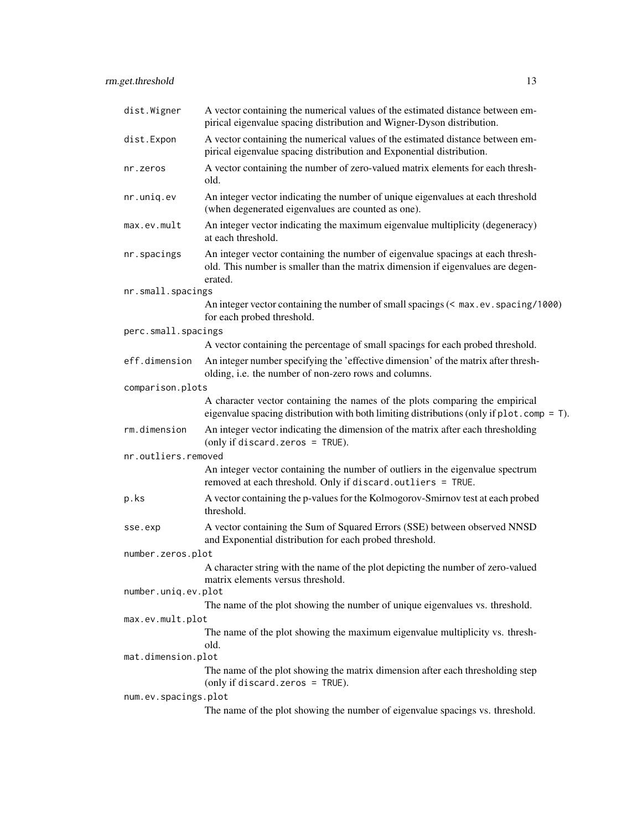| dist.Wigner          | A vector containing the numerical values of the estimated distance between em-<br>pirical eigenvalue spacing distribution and Wigner-Dyson distribution.                     |
|----------------------|------------------------------------------------------------------------------------------------------------------------------------------------------------------------------|
| dist.Expon           | A vector containing the numerical values of the estimated distance between em-<br>pirical eigenvalue spacing distribution and Exponential distribution.                      |
| nr.zeros             | A vector containing the number of zero-valued matrix elements for each thresh-<br>old.                                                                                       |
| nr.uniq.ev           | An integer vector indicating the number of unique eigenvalues at each threshold<br>(when degenerated eigenvalues are counted as one).                                        |
| max.ev.mult          | An integer vector indicating the maximum eigenvalue multiplicity (degeneracy)<br>at each threshold.                                                                          |
| nr.spacings          | An integer vector containing the number of eigenvalue spacings at each thresh-<br>old. This number is smaller than the matrix dimension if eigenvalues are degen-<br>erated. |
| nr.small.spacings    |                                                                                                                                                                              |
|                      | An integer vector containing the number of small spacings (< max.ev. spacing/1000)<br>for each probed threshold.                                                             |
| perc.small.spacings  |                                                                                                                                                                              |
|                      | A vector containing the percentage of small spacings for each probed threshold.                                                                                              |
| eff.dimension        | An integer number specifying the 'effective dimension' of the matrix after thresh-<br>olding, i.e. the number of non-zero rows and columns.                                  |
| comparison.plots     |                                                                                                                                                                              |
|                      | A character vector containing the names of the plots comparing the empirical<br>eigenvalue spacing distribution with both limiting distributions (only if $plot.comp = T$ ). |
| rm.dimension         | An integer vector indicating the dimension of the matrix after each thresholding<br>(only if discard. zeros = $TRUE$ ).                                                      |
| nr.outliers.removed  |                                                                                                                                                                              |
|                      | An integer vector containing the number of outliers in the eigenvalue spectrum<br>removed at each threshold. Only if discard.outliers = TRUE.                                |
| p.ks                 | A vector containing the p-values for the Kolmogorov-Smirnov test at each probed<br>threshold.                                                                                |
| sse.exp              | A vector containing the Sum of Squared Errors (SSE) between observed NNSD<br>and Exponential distribution for each probed threshold.                                         |
| number.zeros.plot    |                                                                                                                                                                              |
|                      | A character string with the name of the plot depicting the number of zero-valued<br>matrix elements versus threshold.                                                        |
| number.uniq.ev.plot  |                                                                                                                                                                              |
|                      | The name of the plot showing the number of unique eigenvalues vs. threshold.                                                                                                 |
| max.ev.mult.plot     |                                                                                                                                                                              |
|                      | The name of the plot showing the maximum eigenvalue multiplicity vs. thresh-<br>old.                                                                                         |
| mat.dimension.plot   | The name of the plot showing the matrix dimension after each thresholding step                                                                                               |
|                      | (only if discard. zeros = $TRUE$ ).                                                                                                                                          |
| num.ev.spacings.plot |                                                                                                                                                                              |
|                      | The name of the plot showing the number of eigenvalue spacings vs. threshold.                                                                                                |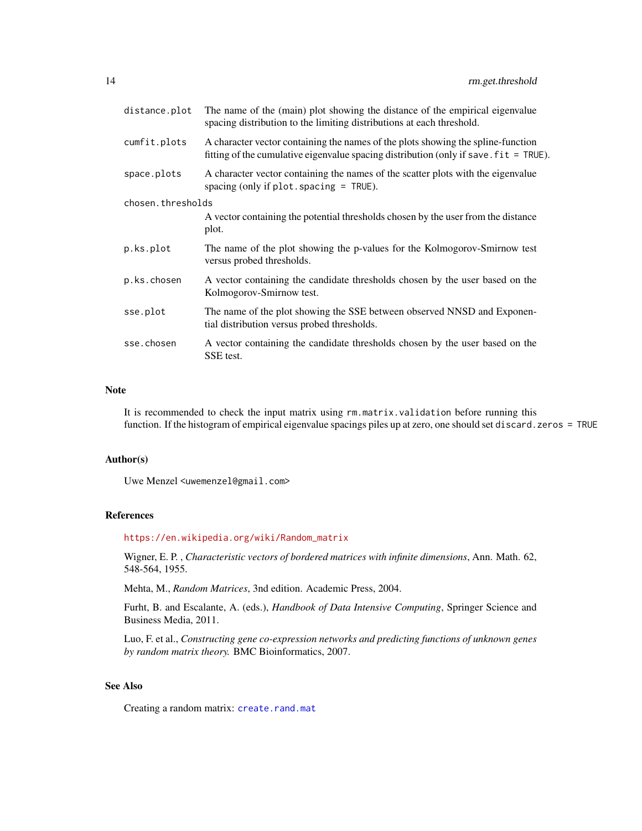<span id="page-13-0"></span>

| distance.plot     | The name of the (main) plot showing the distance of the empirical eigenvalue<br>spacing distribution to the limiting distributions at each threshold.                                     |
|-------------------|-------------------------------------------------------------------------------------------------------------------------------------------------------------------------------------------|
| cumfit.plots      | A character vector containing the names of the plots showing the spline-function<br>fitting of the cumulative eigenvalue spacing distribution (only if save $\text{fit} = \text{TRUE}$ ). |
| space.plots       | A character vector containing the names of the scatter plots with the eigenvalue<br>spacing (only if $plot.\,spacing = TRUE$ ).                                                           |
| chosen.thresholds |                                                                                                                                                                                           |
|                   | A vector containing the potential thresholds chosen by the user from the distance<br>plot.                                                                                                |
| p.ks.plot         | The name of the plot showing the p-values for the Kolmogorov-Smirnow test<br>versus probed thresholds.                                                                                    |
| p.ks.chosen       | A vector containing the candidate thresholds chosen by the user based on the<br>Kolmogorov-Smirnow test.                                                                                  |
| sse.plot          | The name of the plot showing the SSE between observed NNSD and Exponen-<br>tial distribution versus probed thresholds.                                                                    |
| sse.chosen        | A vector containing the candidate thresholds chosen by the user based on the<br>SSE test.                                                                                                 |

#### Note

It is recommended to check the input matrix using rm.matrix.validation before running this function. If the histogram of empirical eigenvalue spacings piles up at zero, one should set discard.zeros = TRUE

#### Author(s)

Uwe Menzel <uwemenzel@gmail.com>

# References

[https://en.wikipedia.org/wiki/Random\\_matrix](https://en.wikipedia.org/wiki/Random_matrix)

Wigner, E. P. , *Characteristic vectors of bordered matrices with infinite dimensions*, Ann. Math. 62, 548-564, 1955.

Mehta, M., *Random Matrices*, 3nd edition. Academic Press, 2004.

Furht, B. and Escalante, A. (eds.), *Handbook of Data Intensive Computing*, Springer Science and Business Media, 2011.

Luo, F. et al., *Constructing gene co-expression networks and predicting functions of unknown genes by random matrix theory.* BMC Bioinformatics, 2007.

# See Also

Creating a random matrix: [create.rand.mat](#page-3-1)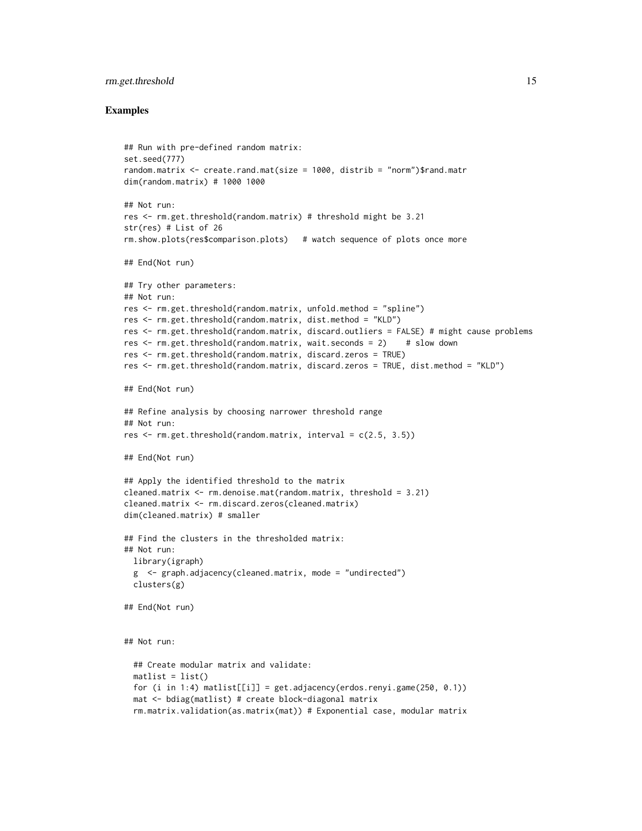# rm.get.threshold 15

#### Examples

```
## Run with pre-defined random matrix:
set.seed(777)
random.matrix <- create.rand.mat(size = 1000, distrib = "norm")$rand.matr
dim(random.matrix) # 1000 1000
## Not run:
res <- rm.get.threshold(random.matrix) # threshold might be 3.21
str(res) # List of 26
rm.show.plots(res$comparison.plots) # watch sequence of plots once more
## End(Not run)
## Try other parameters:
## Not run:
res <- rm.get.threshold(random.matrix, unfold.method = "spline")
res <- rm.get.threshold(random.matrix, dist.method = "KLD")
res <- rm.get.threshold(random.matrix, discard.outliers = FALSE) # might cause problems
res <- rm.get.threshold(random.matrix, wait.seconds = 2) # slow down
res <- rm.get.threshold(random.matrix, discard.zeros = TRUE)
res <- rm.get.threshold(random.matrix, discard.zeros = TRUE, dist.method = "KLD")
## End(Not run)
## Refine analysis by choosing narrower threshold range
## Not run:
res \leq rm.get.threshold(random.matrix, interval = c(2.5, 3.5))
## End(Not run)
## Apply the identified threshold to the matrix
cleaned.matrix <- rm.denoise.mat(random.matrix, threshold = 3.21)
cleaned.matrix <- rm.discard.zeros(cleaned.matrix)
dim(cleaned.matrix) # smaller
## Find the clusters in the thresholded matrix:
## Not run:
  library(igraph)
  g \leq - graph.adjacency(cleaned.matrix, mode = "undirected")
  clusters(g)
## End(Not run)
## Not run:
  ## Create modular matrix and validate:
  mathlist = list()for (i in 1:4) matlist[[i]] = get.adjacency(erdos.renyi.game(250, 0.1))
  mat <- bdiag(matlist) # create block-diagonal matrix
  rm.matrix.validation(as.matrix(mat)) # Exponential case, modular matrix
```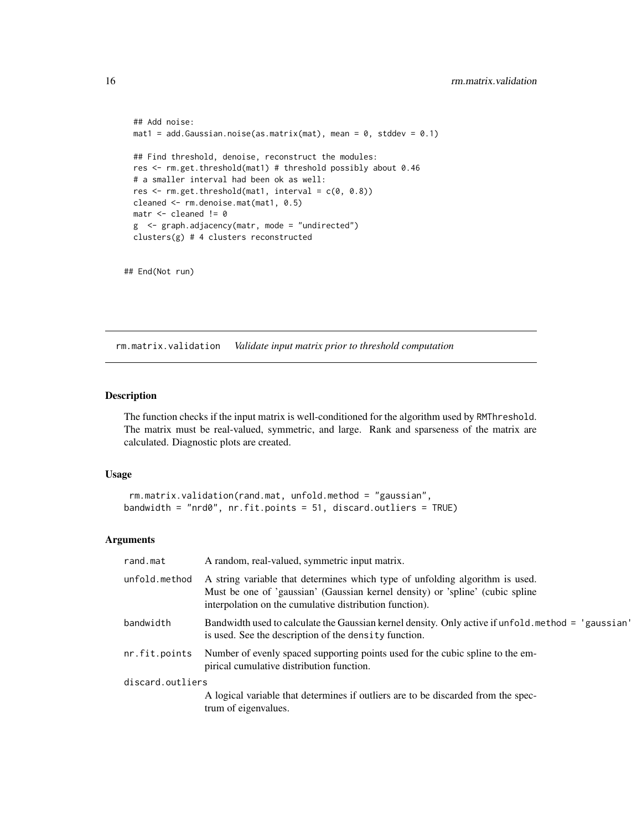```
## Add noise:
mat1 = add.Gaussian.noise(as.matrix(mat), mean = 0, stddev = 0.1)## Find threshold, denoise, reconstruct the modules:
res <- rm.get.threshold(mat1) # threshold possibly about 0.46
# a smaller interval had been ok as well:
res \leq rm.get.threshold(mat1, interval = c(0, 0.8))
cleaned <- rm.denoise.mat(mat1, 0.5)
matr <- cleaned != 0
g <- graph.adjacency(matr, mode = "undirected")
clusters(g) # 4 clusters reconstructed
```

```
## End(Not run)
```
<span id="page-15-1"></span>rm.matrix.validation *Validate input matrix prior to threshold computation*

#### Description

The function checks if the input matrix is well-conditioned for the algorithm used by RMThreshold. The matrix must be real-valued, symmetric, and large. Rank and sparseness of the matrix are calculated. Diagnostic plots are created.

#### Usage

```
rm.matrix.validation(rand.mat, unfold.method = "gaussian",
bandwidth = "nrd0", nr.fit.points = 51, discard.outliers = TRUE)
```

| rand.mat         | A random, real-valued, symmetric input matrix.                                                                                                                                                                           |
|------------------|--------------------------------------------------------------------------------------------------------------------------------------------------------------------------------------------------------------------------|
| unfold.method    | A string variable that determines which type of unfolding algorithm is used.<br>Must be one of 'gaussian' (Gaussian kernel density) or 'spline' (cubic spline<br>interpolation on the cumulative distribution function). |
| bandwidth        | Bandwidth used to calculate the Gaussian kernel density. Only active if unfold method = 'gaussian'<br>is used. See the description of the density function.                                                              |
| nr.fit.points    | Number of evenly spaced supporting points used for the cubic spline to the em-<br>pirical cumulative distribution function.                                                                                              |
| discard.outliers |                                                                                                                                                                                                                          |
|                  | A logical variable that determines if outliers are to be discarded from the spec-<br>trum of eigenvalues.                                                                                                                |

<span id="page-15-0"></span>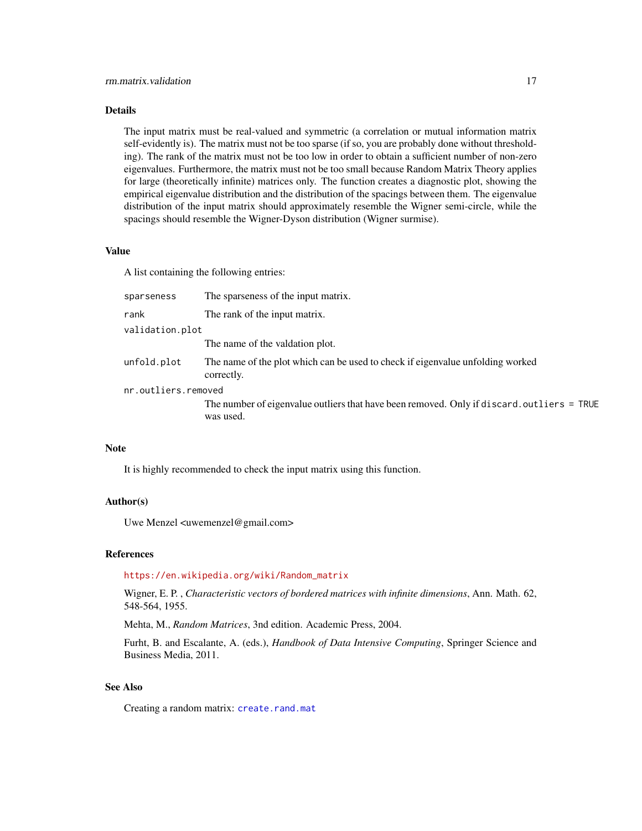<span id="page-16-0"></span>The input matrix must be real-valued and symmetric (a correlation or mutual information matrix self-evidently is). The matrix must not be too sparse (if so, you are probably done without thresholding). The rank of the matrix must not be too low in order to obtain a sufficient number of non-zero eigenvalues. Furthermore, the matrix must not be too small because Random Matrix Theory applies for large (theoretically infinite) matrices only. The function creates a diagnostic plot, showing the empirical eigenvalue distribution and the distribution of the spacings between them. The eigenvalue distribution of the input matrix should approximately resemble the Wigner semi-circle, while the spacings should resemble the Wigner-Dyson distribution (Wigner surmise).

# Value

A list containing the following entries:

| sparseness          | The sparseness of the input matrix.                                                          |
|---------------------|----------------------------------------------------------------------------------------------|
| rank                | The rank of the input matrix.                                                                |
| validation.plot     |                                                                                              |
|                     | The name of the valdation plot.                                                              |
| unfold.plot         | The name of the plot which can be used to check if eigenvalue unfolding worked<br>correctly. |
| nr.outliers.removed |                                                                                              |
|                     | The number of eigenvalue outliers that have been removed. Only if discard. outliers = TRUE   |

#### **Note**

It is highly recommended to check the input matrix using this function.

#### Author(s)

Uwe Menzel <uwemenzel@gmail.com>

was used.

# References

[https://en.wikipedia.org/wiki/Random\\_matrix](https://en.wikipedia.org/wiki/Random_matrix)

Wigner, E. P. , *Characteristic vectors of bordered matrices with infinite dimensions*, Ann. Math. 62, 548-564, 1955.

Mehta, M., *Random Matrices*, 3nd edition. Academic Press, 2004.

Furht, B. and Escalante, A. (eds.), *Handbook of Data Intensive Computing*, Springer Science and Business Media, 2011.

# See Also

Creating a random matrix: [create.rand.mat](#page-3-1)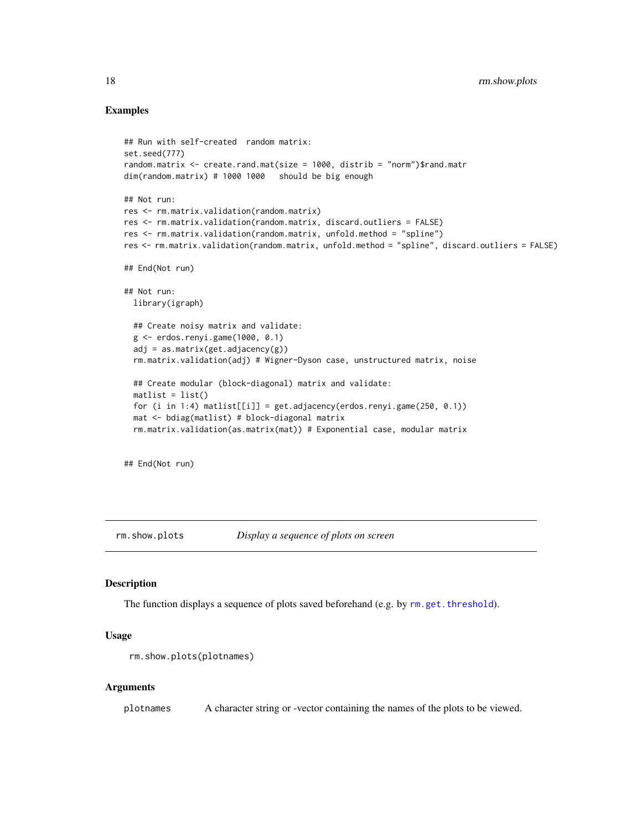#### Examples

```
## Run with self-created random matrix:
set.seed(777)
random.matrix <- create.rand.mat(size = 1000, distrib = "norm")$rand.matr
dim(random.matrix) # 1000 1000 should be big enough
## Not run:
res <- rm.matrix.validation(random.matrix)
res <- rm.matrix.validation(random.matrix, discard.outliers = FALSE)
res <- rm.matrix.validation(random.matrix, unfold.method = "spline")
res <- rm.matrix.validation(random.matrix, unfold.method = "spline", discard.outliers = FALSE)
## End(Not run)
## Not run:
 library(igraph)
 ## Create noisy matrix and validate:
 g <- erdos.renyi.game(1000, 0.1)
 adj = as_matrix(get.addjacency(g))rm.matrix.validation(adj) # Wigner-Dyson case, unstructured matrix, noise
 ## Create modular (block-diagonal) matrix and validate:
 mathlist = list()for (i in 1:4) matlist[[i]] = get.addacency(erdos.renyi.game(250, 0.1))mat <- bdiag(matlist) # block-diagonal matrix
 rm.matrix.validation(as.matrix(mat)) # Exponential case, modular matrix
```
## End(Not run)

rm.show.plots *Display a sequence of plots on screen*

#### Description

The function displays a sequence of plots saved beforehand (e.g. by  $rm.get.threshold$ ).

#### Usage

```
rm.show.plots(plotnames)
```
#### Arguments

plotnames A character string or -vector containing the names of the plots to be viewed.

<span id="page-17-0"></span>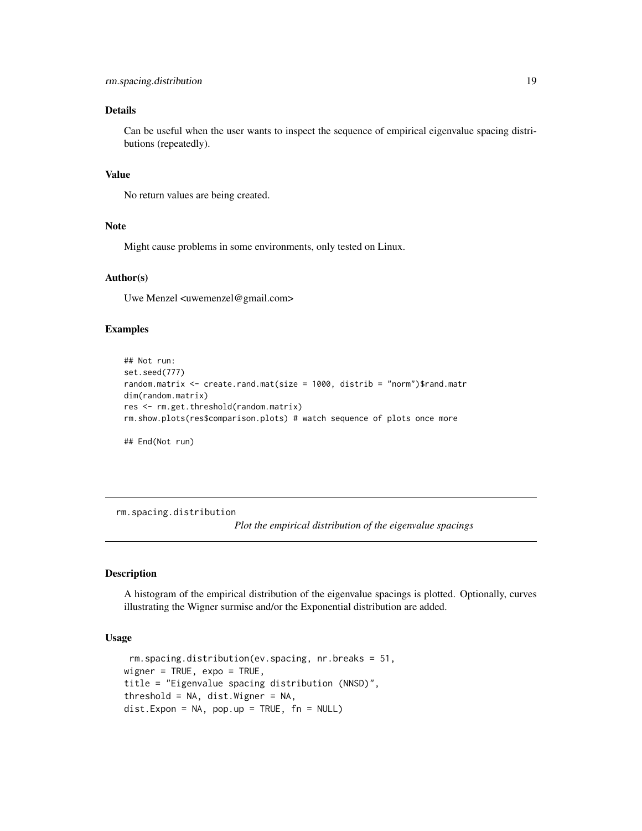<span id="page-18-0"></span>Can be useful when the user wants to inspect the sequence of empirical eigenvalue spacing distributions (repeatedly).

#### Value

No return values are being created.

#### Note

Might cause problems in some environments, only tested on Linux.

# Author(s)

Uwe Menzel <uwemenzel@gmail.com>

#### Examples

```
## Not run:
set.seed(777)
random.matrix \leq create.rand.mat(size = 1000, distrib = "norm")$rand.matr
dim(random.matrix)
res <- rm.get.threshold(random.matrix)
rm.show.plots(res$comparison.plots) # watch sequence of plots once more
## End(Not run)
```
<span id="page-18-1"></span>rm.spacing.distribution

*Plot the empirical distribution of the eigenvalue spacings*

#### Description

A histogram of the empirical distribution of the eigenvalue spacings is plotted. Optionally, curves illustrating the Wigner surmise and/or the Exponential distribution are added.

# Usage

```
rm.spacing.distribution(ev.spacing, nr.breaks = 51,
wigner = TRUE, expo = TRUE,
title = "Eigenvalue spacing distribution (NNSD)",
threshold = NA, dist.Wigner = NA,
dist.Expon = NA, pop.up = TRUE, fn = NULL)
```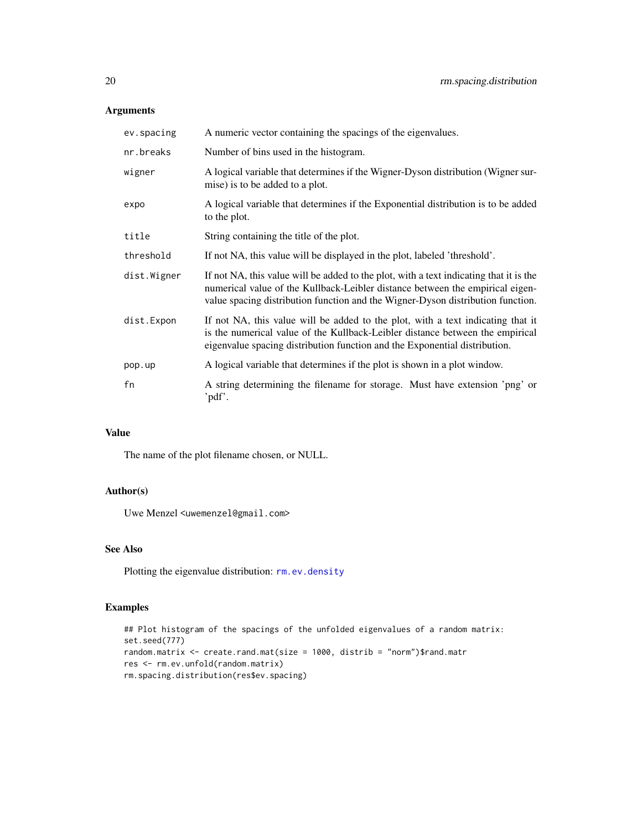# <span id="page-19-0"></span>Arguments

| ev.spacing  | A numeric vector containing the spacings of the eigenvalues.                                                                                                                                                                                               |
|-------------|------------------------------------------------------------------------------------------------------------------------------------------------------------------------------------------------------------------------------------------------------------|
| nr.breaks   | Number of bins used in the histogram.                                                                                                                                                                                                                      |
| wigner      | A logical variable that determines if the Wigner-Dyson distribution (Wigner sur-<br>mise) is to be added to a plot.                                                                                                                                        |
| expo        | A logical variable that determines if the Exponential distribution is to be added<br>to the plot.                                                                                                                                                          |
| title       | String containing the title of the plot.                                                                                                                                                                                                                   |
| threshold   | If not NA, this value will be displayed in the plot, labeled 'threshold'.                                                                                                                                                                                  |
| dist.Wigner | If not NA, this value will be added to the plot, with a text indicating that it is the<br>numerical value of the Kullback-Leibler distance between the empirical eigen-<br>value spacing distribution function and the Wigner-Dyson distribution function. |
| dist.Expon  | If not NA, this value will be added to the plot, with a text indicating that it<br>is the numerical value of the Kullback-Leibler distance between the empirical<br>eigenvalue spacing distribution function and the Exponential distribution.             |
| pop.up      | A logical variable that determines if the plot is shown in a plot window.                                                                                                                                                                                  |
| fn          | A string determining the filename for storage. Must have extension 'png' or<br>'pdf'.                                                                                                                                                                      |

# Value

The name of the plot filename chosen, or NULL.

# Author(s)

Uwe Menzel <uwemenzel@gmail.com>

# See Also

Plotting the eigenvalue distribution: [rm.ev.density](#page-7-1)

# Examples

```
## Plot histogram of the spacings of the unfolded eigenvalues of a random matrix:
set.seed(777)
random.matrix <- create.rand.mat(size = 1000, distrib = "norm")$rand.matr
res <- rm.ev.unfold(random.matrix)
rm.spacing.distribution(res$ev.spacing)
```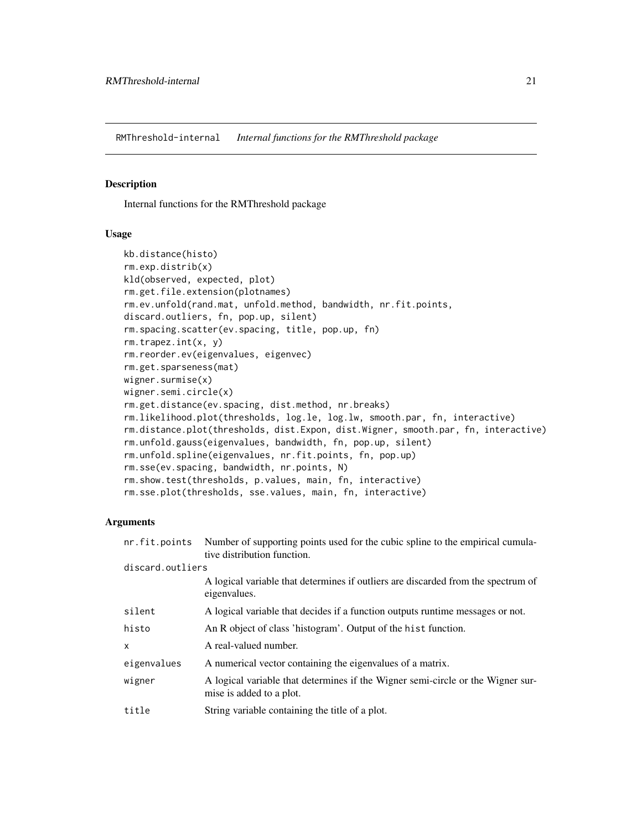<span id="page-20-0"></span>RMThreshold-internal *Internal functions for the RMThreshold package*

# Description

Internal functions for the RMThreshold package

#### Usage

```
kb.distance(histo)
rm.exp.distrib(x)
kld(observed, expected, plot)
rm.get.file.extension(plotnames)
rm.ev.unfold(rand.mat, unfold.method, bandwidth, nr.fit.points,
discard.outliers, fn, pop.up, silent)
rm.spacing.scatter(ev.spacing, title, pop.up, fn)
rm.trapez.int(x, y)
rm.reorder.ev(eigenvalues, eigenvec)
rm.get.sparseness(mat)
wigner.surmise(x)
wigner.semi.circle(x)
rm.get.distance(ev.spacing, dist.method, nr.breaks)
rm.likelihood.plot(thresholds, log.le, log.lw, smooth.par, fn, interactive)
rm.distance.plot(thresholds, dist.Expon, dist.Wigner, smooth.par, fn, interactive)
rm.unfold.gauss(eigenvalues, bandwidth, fn, pop.up, silent)
rm.unfold.spline(eigenvalues, nr.fit.points, fn, pop.up)
rm.sse(ev.spacing, bandwidth, nr.points, N)
rm.show.test(thresholds, p.values, main, fn, interactive)
rm.sse.plot(thresholds, sse.values, main, fn, interactive)
```

| Number of supporting points used for the cubic spline to the empirical cumula-<br>tive distribution function. |  |  |
|---------------------------------------------------------------------------------------------------------------|--|--|
| discard.outliers                                                                                              |  |  |
| A logical variable that determines if outliers are discarded from the spectrum of<br>eigenvalues.             |  |  |
| A logical variable that decides if a function outputs runtime messages or not.                                |  |  |
| An R object of class 'histogram'. Output of the hist function.                                                |  |  |
| A real-valued number.                                                                                         |  |  |
| A numerical vector containing the eigenvalues of a matrix.                                                    |  |  |
| A logical variable that determines if the Wigner semi-circle or the Wigner sur-<br>mise is added to a plot.   |  |  |
| String variable containing the title of a plot.                                                               |  |  |
|                                                                                                               |  |  |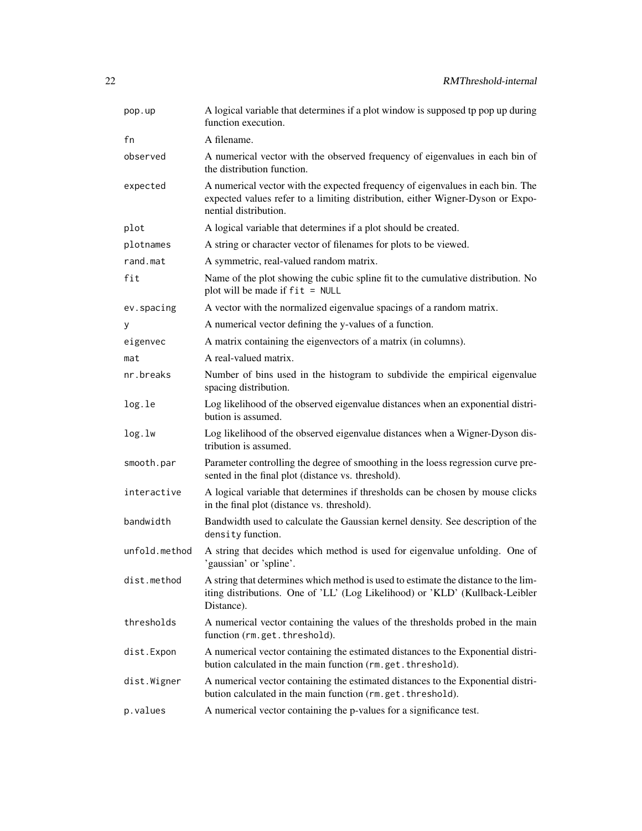| pop.up        | A logical variable that determines if a plot window is supposed tp pop up during<br>function execution.                                                                                   |
|---------------|-------------------------------------------------------------------------------------------------------------------------------------------------------------------------------------------|
| fn            | A filename.                                                                                                                                                                               |
| observed      | A numerical vector with the observed frequency of eigenvalues in each bin of<br>the distribution function.                                                                                |
| expected      | A numerical vector with the expected frequency of eigenvalues in each bin. The<br>expected values refer to a limiting distribution, either Wigner-Dyson or Expo-<br>nential distribution. |
| plot          | A logical variable that determines if a plot should be created.                                                                                                                           |
| plotnames     | A string or character vector of filenames for plots to be viewed.                                                                                                                         |
| rand.mat      | A symmetric, real-valued random matrix.                                                                                                                                                   |
| fit           | Name of the plot showing the cubic spline fit to the cumulative distribution. No<br>plot will be made if $fit = NULL$                                                                     |
| ev.spacing    | A vector with the normalized eigenvalue spacings of a random matrix.                                                                                                                      |
| у             | A numerical vector defining the y-values of a function.                                                                                                                                   |
| eigenvec      | A matrix containing the eigenvectors of a matrix (in columns).                                                                                                                            |
| mat           | A real-valued matrix.                                                                                                                                                                     |
| nr.breaks     | Number of bins used in the histogram to subdivide the empirical eigenvalue<br>spacing distribution.                                                                                       |
| log.le        | Log likelihood of the observed eigenvalue distances when an exponential distri-<br>bution is assumed.                                                                                     |
| log.lw        | Log likelihood of the observed eigenvalue distances when a Wigner-Dyson dis-<br>tribution is assumed.                                                                                     |
| smooth.par    | Parameter controlling the degree of smoothing in the loess regression curve pre-<br>sented in the final plot (distance vs. threshold).                                                    |
| interactive   | A logical variable that determines if thresholds can be chosen by mouse clicks<br>in the final plot (distance vs. threshold).                                                             |
| bandwidth     | Bandwidth used to calculate the Gaussian kernel density. See description of the<br>density function.                                                                                      |
| unfold.method | A string that decides which method is used for eigenvalue unfolding. One of<br>'gaussian' or 'spline'.                                                                                    |
| dist.method   | A string that determines which method is used to estimate the distance to the lim-<br>iting distributions. One of 'LL' (Log Likelihood) or 'KLD' (Kullback-Leibler<br>Distance).          |
| thresholds    | A numerical vector containing the values of the thresholds probed in the main<br>function (rm.get.threshold).                                                                             |
| dist.Expon    | A numerical vector containing the estimated distances to the Exponential distri-<br>bution calculated in the main function (rm.get.threshold).                                            |
| dist.Wigner   | A numerical vector containing the estimated distances to the Exponential distri-<br>bution calculated in the main function (rm.get.threshold).                                            |
| p.values      | A numerical vector containing the p-values for a significance test.                                                                                                                       |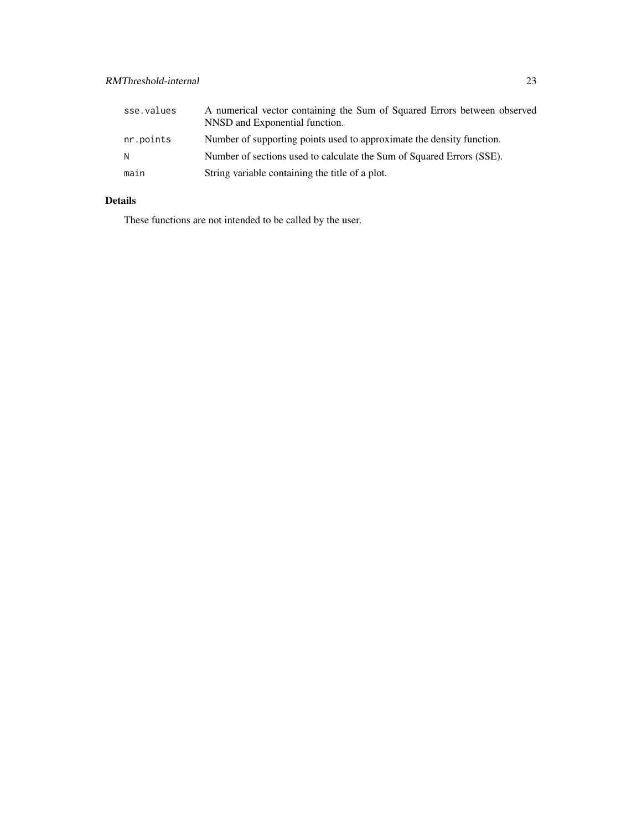| sse.values | A numerical vector containing the Sum of Squared Errors between observed<br>NNSD and Exponential function. |
|------------|------------------------------------------------------------------------------------------------------------|
| nr.points  | Number of supporting points used to approximate the density function.                                      |
| N.         | Number of sections used to calculate the Sum of Squared Errors (SSE).                                      |
| main       | String variable containing the title of a plot.                                                            |

These functions are not intended to be called by the user.